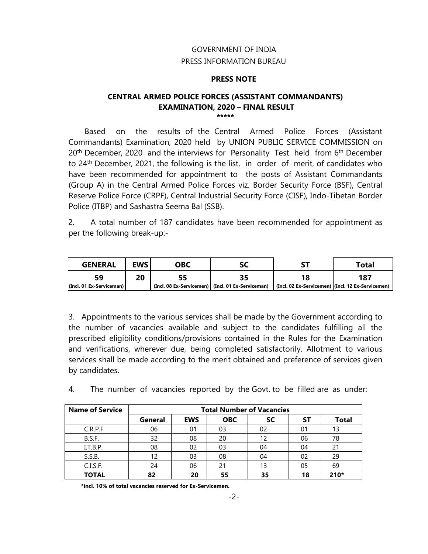#### GOVERNMENT OF INDIA PRESS INFORMATION BUREAU

#### **PRESS NOTE**

#### **CENTRAL ARMED POLICE FORCES (ASSISTANT COMMANDANTS) EXAMINATION, 2020 – FINAL RESULT \*\*\*\*\***

 Based on the results of the Central Armed Police Forces (Assistant Commandants) Examination, 2020 held by UNION PUBLIC SERVICE COMMISSION on  $20<sup>th</sup>$  December, 2020 and the interviews for Personality Test held from  $6<sup>th</sup>$  December to 24th December, 2021, the following is the list, in order of merit, of candidates who have been recommended for appointment to the posts of Assistant Commandants (Group A) in the Central Armed Police Forces viz. Border Security Force (BSF), Central Reserve Police Force (CRPF), Central Industrial Security Force (CISF), Indo-Tibetan Border Police (ITBP) and Sashastra Seema Bal (SSB).

2. A total number of 187 candidates have been recommended for appointment as per the following break-up:-

| <b>GENERAL</b>           | EWS. | OBC | эc                                                |                                                   | ⊺otal |
|--------------------------|------|-----|---------------------------------------------------|---------------------------------------------------|-------|
| 59                       | 20   |     |                                                   |                                                   | 187   |
| (Incl. 01 Ex-Serviceman) |      |     | (Incl. 08 Ex-Servicemen) (Incl. 01 Ex-Serviceman) | (Incl. 02 Ex-Servicemen) (Incl. 12 Ex-Servicemen) |       |

3. Appointments to the various services shall be made by the Government according to the number of vacancies available and subject to the candidates fulfilling all the prescribed eligibility conditions/provisions contained in the Rules for the Examination and verifications, wherever due, being completed satisfactorily. Allotment to various services shall be made according to the merit obtained and preference of services given by candidates.

| <b>Name of Service</b> | <b>Total Number of Vacancies</b> |            |            |           |    |              |
|------------------------|----------------------------------|------------|------------|-----------|----|--------------|
|                        | General                          | <b>EWS</b> | <b>OBC</b> | <b>SC</b> | SΤ | <b>Total</b> |
| C.R.P.F                | 06                               | 01         | 03         | 02        | 01 | 13           |
| B.S.F.                 | 32                               | 08         | 20         | 12        | 06 | 78           |
| I.T.B.P.               | 08                               | 02         | 03         | 04        | 04 | 21           |
| S.S.B.                 | 12                               | 03         | 08         | 04        | 02 | 29           |
| C.I.S.F.               | 24                               | 06         | 21         | 13        | 05 | 69           |
| <b>TOTAL</b>           | 82                               | 20         | 55         | 35        | 18 | $210*$       |

4. The number of vacancies reported by the Govt. to be filled are as under:

**\*incl. 10% of total vacancies reserved for Ex-Servicemen.**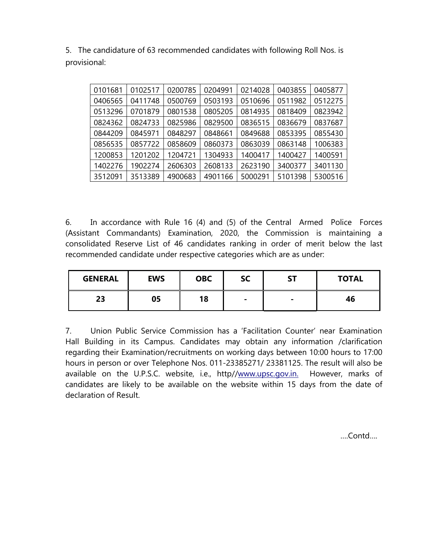5. The candidature of 63 recommended candidates with following Roll Nos. is provisional:

| 0101681 | 0102517 | 0200785 | 0204991 | 0214028 | 0403855 | 0405877 |
|---------|---------|---------|---------|---------|---------|---------|
| 0406565 | 0411748 | 0500769 | 0503193 | 0510696 | 0511982 | 0512275 |
| 0513296 | 0701879 | 0801538 | 0805205 | 0814935 | 0818409 | 0823942 |
| 0824362 | 0824733 | 0825986 | 0829500 | 0836515 | 0836679 | 0837687 |
| 0844209 | 0845971 | 0848297 | 0848661 | 0849688 | 0853395 | 0855430 |
| 0856535 | 0857722 | 0858609 | 0860373 | 0863039 | 0863148 | 1006383 |
| 1200853 | 1201202 | 1204721 | 1304933 | 1400417 | 1400427 | 1400591 |
| 1402276 | 1902274 | 2606303 | 2608133 | 2623190 | 3400377 | 3401130 |
| 3512091 | 3513389 | 4900683 | 4901166 | 5000291 | 5101398 | 5300516 |

6. In accordance with Rule 16 (4) and (5) of the Central Armed Police Forces (Assistant Commandants) Examination, 2020, the Commission is maintaining a consolidated Reserve List of 46 candidates ranking in order of merit below the last recommended candidate under respective categories which are as under:

| <b>GENERAL</b> | <b>EWS</b> | <b>OBC</b> | SC             | <b>ST</b>      | <b>TOTAL</b> |
|----------------|------------|------------|----------------|----------------|--------------|
| 23             | 05         | 18         | $\blacksquare$ | $\blacksquare$ | 46           |

7. Union Public Service Commission has a 'Facilitation Counter' near Examination Hall Building in its Campus. Candidates may obtain any information /clarification regarding their Examination/recruitments on working days between 10:00 hours to 17:00 hours in person or over Telephone Nos. 011-23385271/ 23381125. The result will also be available on the U.P.S.C. website, i.e., http//www.upsc.gov.in. However, marks of candidates are likely to be available on the website within 15 days from the date of declaration of Result.

….Contd….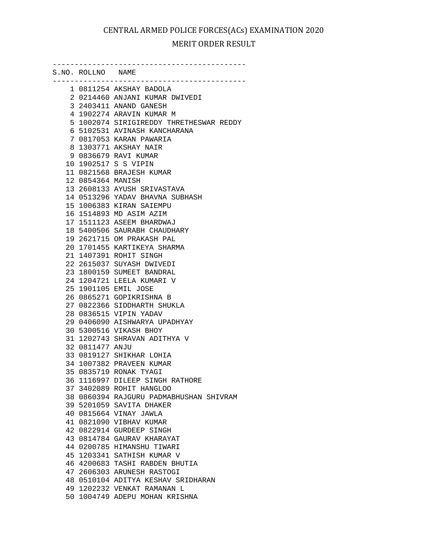S.NO. ROLLNO NAME -------------------------------------------- 1 0811254 AKSHAY BADOLA 2 0214460 ANJANI KUMAR DWIVEDI 3 2403411 ANAND GANESH 4 1902274 ARAVIN KUMAR M 5 1002074 SIRIGIREDDY THRETHESWAR REDDY 6 5102531 AVINASH KANCHARANA 7 0817053 KARAN PAWARIA 8 1303771 AKSHAY NAIR 9 0836679 RAVI KUMAR 10 1902517 S S VIPIN 11 0821568 BRAJESH KUMAR 12 0854364 MANISH 13 2608133 AYUSH SRIVASTAVA 14 0513296 YADAV BHAVNA SUBHASH 15 1006383 KIRAN SAIEMPU 16 1514893 MD ASIM AZIM 17 1511123 ASEEM BHARDWAJ 18 5400506 SAURABH CHAUDHARY 19 2621715 OM PRAKASH PAL 20 1701455 KARTIKEYA SHARMA 21 1407391 ROHIT SINGH 22 2615037 SUYASH DWIVEDI 23 1800159 SUMEET BANDRAL 24 1204721 LEELA KUMARI V 25 1901105 EMIL JOSE 26 0865271 GOPIKRISHNA B 27 0822366 SIDDHARTH SHUKLA 28 0836515 VIPIN YADAV 29 0406090 AISHWARYA UPADHYAY 30 5300516 VIKASH BHOY 31 1202743 SHRAVAN ADITHYA V 32 0811477 ANJU 33 0819127 SHIKHAR LOHIA 34 1007382 PRAVEEN KUMAR 35 0835719 RONAK TYAGI 36 1116997 DILEEP SINGH RATHORE 37 3402089 ROHIT HANGLOO 38 0860394 RAJGURU PADMABHUSHAN SHIVRAM 39 5201059 SAVITA DHAKER 40 0815664 VINAY JAWLA 41 0821090 VIBHAV KUMAR 42 0822914 GURDEEP SINGH 43 0814784 GAURAV KHARAYAT 44 0200785 HIMANSHU TIWARI 45 1203341 SATHISH KUMAR V 46 4200683 TASHI RABDEN BHUTIA 47 2606303 ARUNESH RASTOGI 48 0510104 ADITYA KESHAV SRIDHARAN 49 1202232 VENKAT RAMANAN L 50 1004749 ADEPU MOHAN KRISHNA

--------------------------------------------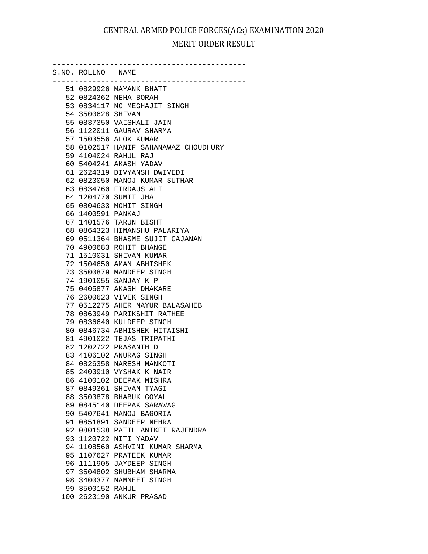--------------------------------------------

| S.NO. ROLLNO NAME |                                      |
|-------------------|--------------------------------------|
|                   | 51 0829926 MAYANK BHATT              |
|                   | 52 0824362 NEHA BORAH                |
|                   | 53 0834117 NG MEGHAJIT SINGH         |
| 54 3500628 SHIVAM |                                      |
|                   | 55 0837350 VAISHALI JAIN             |
|                   | 56 1122011 GAURAV SHARMA             |
|                   | 57 1503556 ALOK KUMAR                |
|                   | 58 0102517 HANIF SAHANAWAZ CHOUDHURY |
|                   | 59 4104024 RAHUL RAJ                 |
|                   | 60 5404241 AKASH YADAV               |
|                   | 61 2624319 DIVYANSH DWIVEDI          |
|                   | 62 0823050 MANOJ KUMAR SUTHAR        |
|                   | 63 0834760 FIRDAUS ALI               |
|                   | 64 1204770 SUMIT JHA                 |
|                   | 65 0804633 MOHIT SINGH               |
| 66 1400591 PANKAJ |                                      |
|                   | 67 1401576 TARUN BISHT               |
|                   | 68 0864323 HIMANSHU PALARIYA         |
|                   | 69 0511364 BHASME SUJIT GAJANAN      |
|                   | 70 4900683 ROHIT BHANGE              |
|                   | 71 1510031 SHIVAM KUMAR              |
|                   | 72 1504650 AMAN ABHISHEK             |
|                   | 73 3500879 MANDEEP SINGH             |
|                   | 74 1901055 SANJAY K P                |
|                   | 75 0405877 AKASH DHAKARE             |
|                   | 76 2600623 VIVEK SINGH               |
|                   | 77 0512275 AHER MAYUR BALASAHEB      |
|                   | 78 0863949 PARIKSHIT RATHEE          |
|                   | 79 0836640 KULDEEP SINGH             |
|                   | 80 0846734 ABHISHEK HITAISHI         |
|                   | 81 4901022 TEJAS TRIPATHI            |
|                   | 82 1202722 PRASANTH D                |
|                   | 83 4106102 ANURAG SINGH              |
|                   | 84 0826358 NARESH MANKOTI            |
|                   | 85 2403910 VYSHAK K NAIR             |
|                   | 86 4100102 DEEPAK MISHRA             |
|                   | 87 0849361 SHIVAM TYAGI              |
|                   | 88 3503878 BHABUK GOYAL              |
|                   | 89 0845140 DEEPAK SARAWAG            |
|                   | 90 5407641 MANOJ BAGORIA             |
|                   | 91 0851891 SANDEEP NEHRA             |
|                   | 92 0801538 PATIL ANIKET RAJENDRA     |
|                   | 93 1120722 NITI YADAV                |
|                   | 94 1108560 ASHVINI KUMAR SHARMA      |
|                   | 95 1107627 PRATEEK KUMAR             |
|                   | 96 1111905 JAYDEEP SINGH             |
|                   | 97 3504802 SHUBHAM SHARMA            |
|                   | 98 3400377 NAMNEET SINGH             |
| 99 3500152 RAHUL  |                                      |
|                   | 100 2623190 ANKUR PRASAD             |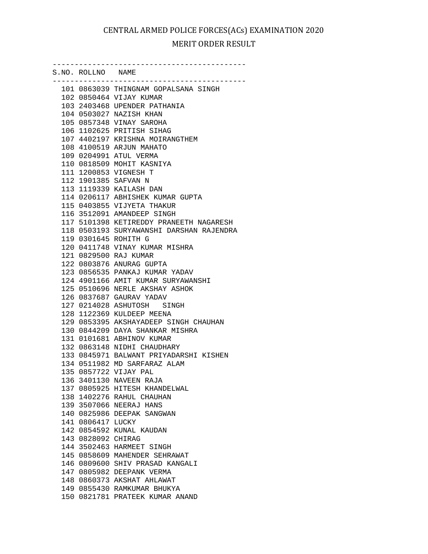--------------------------------------------

| S.NO. ROLLNO NAME  |                                                           |
|--------------------|-----------------------------------------------------------|
|                    | 101 0863039 THINGNAM GOPALSANA SINGH                      |
|                    | 102 0850464 VIJAY KUMAR                                   |
|                    | 103 2403468 UPENDER PATHANIA                              |
|                    | 104 0503027 NAZISH KHAN                                   |
|                    | 105 0857348 VINAY SAROHA                                  |
|                    | 106 1102625 PRITISH SIHAG                                 |
|                    | 107 4402197 KRISHNA MOIRANGTHEM                           |
|                    | 108 4100519 ARJUN MAHATO                                  |
|                    | 109 0204991 ATUL VERMA                                    |
|                    | 110 0818509 MOHIT KASNIYA                                 |
|                    | 111 1200853 VIGNESH T                                     |
|                    | 112 1901385 SAFVAN N                                      |
|                    | 113 1119339 KAILASH DAN                                   |
|                    | 114 0206117 ABHISHEK KUMAR GUPTA                          |
|                    | 115 0403855 VIJYETA THAKUR                                |
|                    | 116 3512091 AMANDEEP SINGH                                |
|                    | 117 5101398 KETIREDDY PRANEETH NAGARESH                   |
|                    | 118 0503193 SURYAWANSHI DARSHAN RAJENDRA                  |
|                    | 119 0301645 ROHITH G                                      |
|                    | 120 0411748 VINAY KUMAR MISHRA                            |
|                    | 121 0829500 RAJ KUMAR                                     |
|                    | 122 0803876 ANURAG GUPTA                                  |
|                    | 123 0856535 PANKAJ KUMAR YADAV                            |
|                    | 124 4901166 AMIT KUMAR SURYAWANSHI                        |
|                    | 125 0510696 NERLE AKSHAY ASHOK                            |
|                    | 126 0837687 GAURAV YADAV                                  |
|                    | 127 0214028 ASHUTOSH SINGH                                |
|                    | 128 1122369 KULDEEP MEENA                                 |
|                    | 129 0853395 AKSHAYADEEP SINGH CHAUHAN                     |
|                    | 130 0844209 DAYA SHANKAR MISHRA                           |
|                    | 131 0101681 ABHINOV KUMAR                                 |
|                    | 132 0863148 NIDHI CHAUDHARY                               |
|                    | 133 0845971 BALWANT PRIYADARSHI KISHEN                    |
|                    | 134 0511982 MD SARFARAZ ALAM                              |
|                    | 135 0857722 VIJAY PAL                                     |
|                    | 136 3401130 NAVEEN RAJA                                   |
|                    | 137 0805925 HITESH KHANDELWAL                             |
|                    | 138 1402276 RAHUL CHAUHAN                                 |
|                    | 139 3507066 NEERAJ HANS                                   |
|                    | 140 0825986 DEEPAK SANGWAN                                |
| 141 0806417 LUCKY  |                                                           |
|                    | 142 0854592 KUNAL KAUDAN                                  |
| 143 0828092 CHIRAG |                                                           |
|                    | 144 3502463 HARMEET SINGH                                 |
|                    | 145 0858609 MAHENDER SEHRAWAT                             |
|                    | 146 0809600 SHIV PRASAD KANGALI                           |
|                    | 147 0805982 DEEPANK VERMA                                 |
|                    | 148 0860373 AKSHAT AHLAWAT<br>149 0855430 RAMKUMAR BHUKYA |
|                    | 150 0821781 PRATEEK KUMAR ANAND                           |
|                    |                                                           |